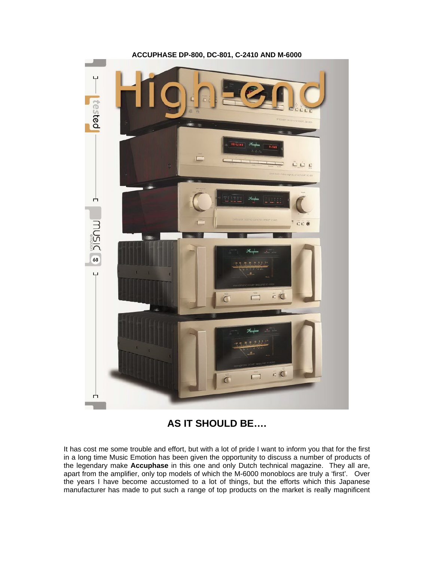

## **ACCUPHASE DP-800, DC-801, C-2410 AND M-6000**

# **AS IT SHOULD BE….**

It has cost me some trouble and effort, but with a lot of pride I want to inform you that for the first in a long time Music Emotion has been given the opportunity to discuss a number of products of the legendary make **Accuphase** in this one and only Dutch technical magazine. They all are, apart from the amplifier, only top models of which the M-6000 monoblocs are truly a 'first'. Over the years I have become accustomed to a lot of things, but the efforts which this Japanese manufacturer has made to put such a range of top products on the market is really magnificent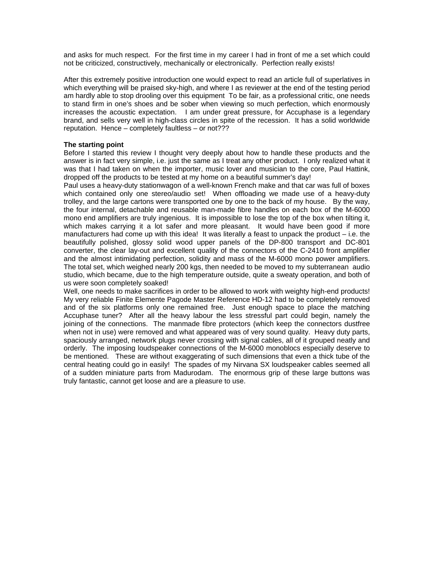and asks for much respect. For the first time in my career I had in front of me a set which could not be criticized, constructively, mechanically or electronically. Perfection really exists!

After this extremely positive introduction one would expect to read an article full of superlatives in which everything will be praised sky-high, and where I as reviewer at the end of the testing period am hardly able to stop drooling over this equipment To be fair, as a professional critic, one needs to stand firm in one's shoes and be sober when viewing so much perfection, which enormously increases the acoustic expectation. I am under great pressure, for Accuphase is a legendary brand, and sells very well in high-class circles in spite of the recession. It has a solid worldwide reputation. Hence – completely faultless – or not???

## **The starting point**

Before I started this review I thought very deeply about how to handle these products and the answer is in fact very simple, i.e. just the same as I treat any other product. I only realized what it was that I had taken on when the importer, music lover and musician to the core, Paul Hattink, dropped off the products to be tested at my home on a beautiful summer's day!

Paul uses a heavy-duty stationwagon of a well-known French make and that car was full of boxes which contained only one stereo/audio set! When offloading we made use of a heavy-duty trolley, and the large cartons were transported one by one to the back of my house. By the way, the four internal, detachable and reusable man-made fibre handles on each box of the M-6000 mono end amplifiers are truly ingenious. It is impossible to lose the top of the box when tilting it, which makes carrying it a lot safer and more pleasant. It would have been good if more manufacturers had come up with this idea! It was literally a feast to unpack the product – i.e. the beautifully polished, glossy solid wood upper panels of the DP-800 transport and DC-801 converter, the clear lay-out and excellent quality of the connectors of the C-2410 front amplifier and the almost intimidating perfection, solidity and mass of the M-6000 mono power amplifiers. The total set, which weighed nearly 200 kgs, then needed to be moved to my subterranean audio studio, which became, due to the high temperature outside, quite a sweaty operation, and both of us were soon completely soaked!

Well, one needs to make sacrifices in order to be allowed to work with weighty high-end products! My very reliable Finite Elemente Pagode Master Reference HD-12 had to be completely removed and of the six platforms only one remained free. Just enough space to place the matching Accuphase tuner? After all the heavy labour the less stressful part could begin, namely the joining of the connections. The manmade fibre protectors (which keep the connectors dustfree when not in use) were removed and what appeared was of very sound quality. Heavy duty parts, spaciously arranged, network plugs never crossing with signal cables, all of it grouped neatly and orderly. The imposing loudspeaker connections of the M-6000 monoblocs especially deserve to be mentioned. These are without exaggerating of such dimensions that even a thick tube of the central heating could go in easily! The spades of my Nirvana SX loudspeaker cables seemed all of a sudden miniature parts from Madurodam. The enormous grip of these large buttons was truly fantastic, cannot get loose and are a pleasure to use.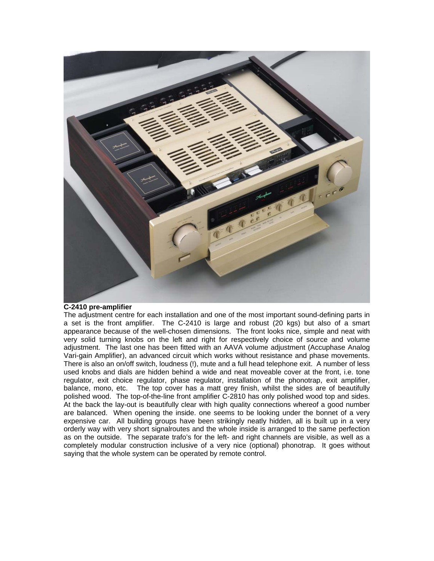

## **C-2410 pre-amplifier**

The adjustment centre for each installation and one of the most important sound-defining parts in a set is the front amplifier. The C-2410 is large and robust (20 kgs) but also of a smart appearance because of the well-chosen dimensions. The front looks nice, simple and neat with very solid turning knobs on the left and right for respectively choice of source and volume adjustment. The last one has been fitted with an AAVA volume adjustment (Accuphase Analog Vari-gain Amplifier), an advanced circuit which works without resistance and phase movements. There is also an on/off switch, loudness (!), mute and a full head telephone exit. A number of less used knobs and dials are hidden behind a wide and neat moveable cover at the front, i.e. tone regulator, exit choice regulator, phase regulator, installation of the phonotrap, exit amplifier, balance, mono, etc. The top cover has a matt grey finish, whilst the sides are of beautifully polished wood. The top-of-the-line front amplifier C-2810 has only polished wood top and sides. At the back the lay-out is beautifully clear with high quality connections whereof a good number are balanced. When opening the inside. one seems to be looking under the bonnet of a very expensive car. All building groups have been strikingly neatly hidden, all is built up in a very orderly way with very short signalroutes and the whole inside is arranged to the same perfection as on the outside. The separate trafo's for the left- and right channels are visible, as well as a completely modular construction inclusive of a very nice (optional) phonotrap. It goes without saying that the whole system can be operated by remote control.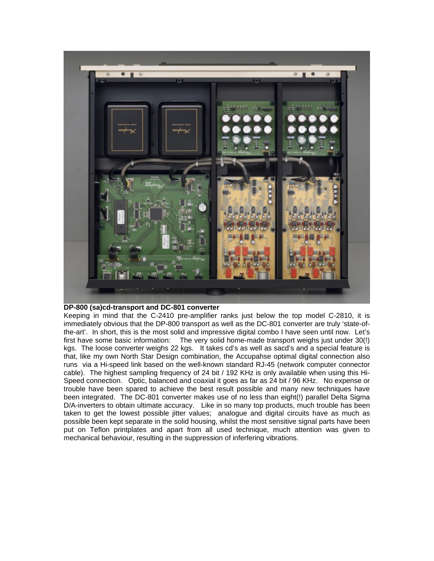

## **DP-800 (sa)cd-transport and DC-801 converter**

Keeping in mind that the C-2410 pre-amplifier ranks just below the top model C-2810, it is immediately obvious that the DP-800 transport as well as the DC-801 converter are truly 'state-ofthe-art'. In short, this is the most solid and impressive digital combo I have seen until now. Let's first have some basic information: The very solid home-made transport weighs just under 30(!) kgs. The loose converter weighs 22 kgs. It takes cd's as well as sacd's and a special feature is that, like my own North Star Design combination, the Accupahse optimal digital connection also runs via a Hi-speed link based on the well-known standard RJ-45 (network computer connector cable). The highest sampling frequency of 24 bit / 192 KHz is only available when using this Hi-Speed connection. Optic, balanced and coaxial it goes as far as 24 bit / 96 KHz. No expense or trouble have been spared to achieve the best result possible and many new techniques have been integrated. The DC-801 converter makes use of no less than eight(!) parallel Delta Sigma D/A-inverters to obtain ultimate accuracy. Like in so many top products, much trouble has been taken to get the lowest possible jitter values; analogue and digital circuits have as much as possible been kept separate in the solid housing, whilst the most sensitive signal parts have been put on Teflon printplates and apart from all used technique, much attention was given to mechanical behaviour, resulting in the suppression of inferfering vibrations.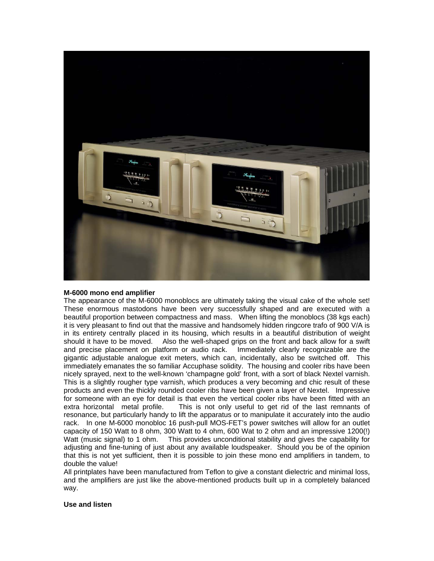

#### **M-6000 mono end amplifier**

The appearance of the M-6000 monoblocs are ultimately taking the visual cake of the whole set! These enormous mastodons have been very successfully shaped and are executed with a beautiful proportion between compactness and mass. When lifting the monoblocs (38 kgs each) it is very pleasant to find out that the massive and handsomely hidden ringcore trafo of 900 V/A is in its entirety centrally placed in its housing, which results in a beautiful distribution of weight should it have to be moved. Also the well-shaped grips on the front and back allow for a swift and precise placement on platform or audio rack. Immediately clearly recognizable are the gigantic adjustable analogue exit meters, which can, incidentally, also be switched off. This immediately emanates the so familiar Accuphase solidity. The housing and cooler ribs have been nicely sprayed, next to the well-known 'champagne gold' front, with a sort of black Nextel varnish. This is a slightly rougher type varnish, which produces a very becoming and chic result of these products and even the thickly rounded cooler ribs have been given a layer of Nextel. Impressive for someone with an eye for detail is that even the vertical cooler ribs have been fitted with an extra horizontal metal profile. This is not only useful to get rid of the last remnants of resonance, but particularly handy to lift the apparatus or to manipulate it accurately into the audio rack. In one M-6000 monobloc 16 push-pull MOS-FET's power switches will allow for an outlet capacity of 150 Watt to 8 ohm, 300 Watt to 4 ohm, 600 Wat to 2 ohm and an impressive 1200(!) Watt (music signal) to 1 ohm. This provides unconditional stability and gives the capability for adjusting and fine-tuning of just about any available loudspeaker. Should you be of the opinion that this is not yet sufficient, then it is possible to join these mono end amplifiers in tandem, to double the value!

All printplates have been manufactured from Teflon to give a constant dielectric and minimal loss, and the amplifiers are just like the above-mentioned products built up in a completely balanced way.

#### **Use and listen**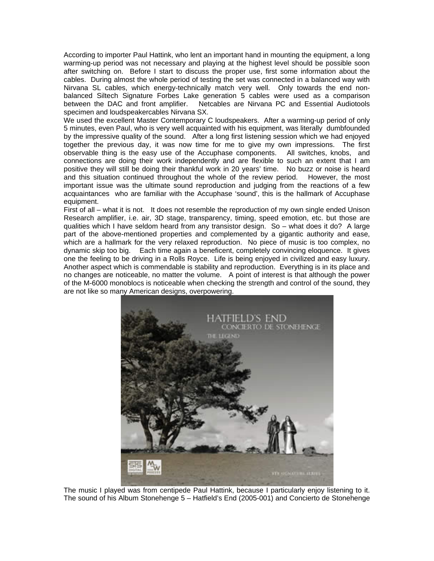According to importer Paul Hattink, who lent an important hand in mounting the equipment, a long warming-up period was not necessary and playing at the highest level should be possible soon after switching on. Before I start to discuss the proper use, first some information about the cables. During almost the whole period of testing the set was connected in a balanced way with Nirvana SL cables, which energy-technically match very well. Only towards the end nonbalanced Siltech Signature Forbes Lake generation 5 cables were used as a comparison between the DAC and front amplifier. Netcables are Nirvana PC and Essential Audiotools specimen and loudspeakercables Nirvana SX.

We used the excellent Master Contemporary C loudspeakers. After a warming-up period of only 5 minutes, even Paul, who is very well acquainted with his equipment, was literally dumbfounded by the impressive quality of the sound. After a long first listening session which we had enjoyed together the previous day, it was now time for me to give my own impressions. The first observable thing is the easy use of the Accuphase components. All switches, knobs, and connections are doing their work independently and are flexible to such an extent that I am positive they will still be doing their thankful work in 20 years' time. No buzz or noise is heard and this situation continued throughout the whole of the review period. However, the most important issue was the ultimate sound reproduction and judging from the reactions of a few acquaintances who are familiar with the Accuphase 'sound', this is the hallmark of Accuphase equipment.

First of all – what it is not. It does not resemble the reproduction of my own single ended Unison Research amplifier, i.e. air, 3D stage, transparency, timing, speed emotion, etc. but those are qualities which I have seldom heard from any transistor design. So – what does it do? A large part of the above-mentioned properties and complemented by a gigantic authority and ease, which are a hallmark for the very relaxed reproduction. No piece of music is too complex, no dynamic skip too big. Each time again a beneficent, completely convincing eloquence. It gives one the feeling to be driving in a Rolls Royce. Life is being enjoyed in civilized and easy luxury. Another aspect which is commendable is stability and reproduction. Everything is in its place and no changes are noticeable, no matter the volume. A point of interest is that although the power of the M-6000 monoblocs is noticeable when checking the strength and control of the sound, they are not like so many American designs, overpowering.



The music I played was from centipede Paul Hattink, because I particularly enjoy listening to it. The sound of his Album Stonehenge 5 – Hatfield's End (2005-001) and Concierto de Stonehenge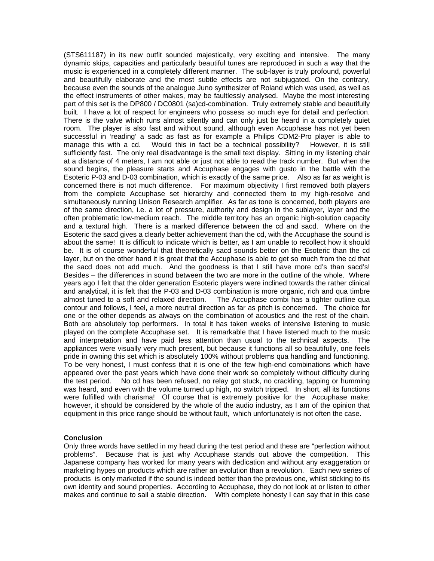(STS611187) in its new outfit sounded majestically, very exciting and intensive. The many dynamic skips, capacities and particularly beautiful tunes are reproduced in such a way that the music is experienced in a completely different manner. The sub-layer is truly profound, powerful and beautifully elaborate and the most subtle effects are not subjugated. On the contrary, because even the sounds of the analogue Juno synthesizer of Roland which was used, as well as the effect instruments of other makes, may be faultlessly analysed. Maybe the most interesting part of this set is the DP800 / DC0801 (sa)cd-combination. Truly extremely stable and beautifully built. I have a lot of respect for engineers who possess so much eye for detail and perfection. There is the valve which runs almost silently and can only just be heard in a completely quiet room. The player is also fast and without sound, although even Accuphase has not yet been successful in 'reading' a sadc as fast as for example a Philips CDM2-Pro player is able to manage this with a cd. Would this in fact be a technical possibility? However, it is still sufficiently fast. The only real disadvantage is the small text display. Sitting in my listening chair at a distance of 4 meters, I am not able or just not able to read the track number. But when the sound begins, the pleasure starts and Accuphase engages with gusto in the battle with the Esoteric P-03 and D-03 combination, which is exactly of the same price. Also as far as weight is concerned there is not much difference. For maximum objectivity I first removed both players from the complete Accuphase set hierarchy and connected them to my high-resolve and simultaneously running Unison Research amplifier. As far as tone is concerned, both players are of the same direction, i.e. a lot of pressure, authority and design in the sublayer, layer and the often problematic low-medium reach. The middle territory has an organic high-solution capacity and a textural high. There is a marked difference between the cd and sacd. Where on the Esoteric the sacd gives a clearly better achievement than the cd, with the Accuphase the sound is about the same! It is difficult to indicate which is better, as I am unable to recollect how it should be. It is of course wonderful that theoretically sacd sounds better on the Esoteric than the cd layer, but on the other hand it is great that the Accuphase is able to get so much from the cd that the sacd does not add much. And the goodness is that I still have more cd's than sacd's! Besides – the differences in sound between the two are more in the outline of the whole. Where years ago I felt that the older generation Esoteric players were inclined towards the rather clinical and analytical, it is felt that the P-03 and D-03 combination is more organic, rich and qua timbre almost tuned to a soft and relaxed direction. The Accuphase combi has a tighter outline qua contour and follows, I feel, a more neutral direction as far as pitch is concerned. The choice for one or the other depends as always on the combination of acoustics and the rest of the chain. Both are absolutely top performers. In total it has taken weeks of intensive listening to music played on the complete Accuphase set. It is remarkable that I have listened much to the music and interpretation and have paid less attention than usual to the technical aspects. The appliances were visually very much present, but because it functions all so beautifully, one feels pride in owning this set which is absolutely 100% without problems qua handling and functioning. To be very honest, I must confess that it is one of the few high-end combinations which have appeared over the past years which have done their work so completely without difficulty during the test period. No cd has been refused, no relay got stuck, no crackling, tapping or humming was heard, and even with the volume turned up high, no switch tripped. In short, all its functions were fulfilled with charisma! Of course that is extremely positive for the Accuphase make; however, it should be considered by the whole of the audio industry, as I am of the opinion that equipment in this price range should be without fault, which unfortunately is not often the case.

#### **Conclusion**

Only three words have settled in my head during the test period and these are "perfection without problems". Because that is just why Accuphase stands out above the competition. This Japanese company has worked for many years with dedication and without any exaggeration or marketing hypes on products which are rather an evolution than a revolution. Each new series of products is only marketed if the sound is indeed better than the previous one, whilst sticking to its own identity and sound properties. According to Accuphase, they do not look at or listen to other makes and continue to sail a stable direction. With complete honesty I can say that in this case